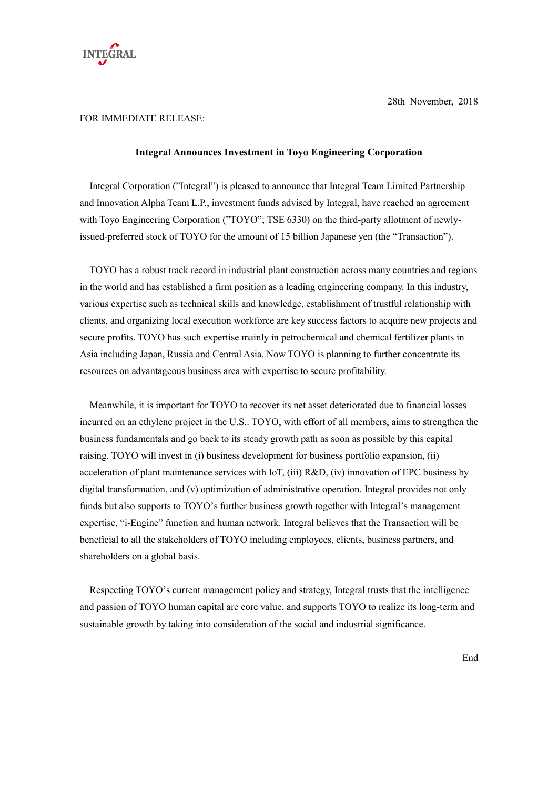

28th November, 2018

## FOR IMMEDIATE RELEASE:

## **Integral Announces Investment in Toyo Engineering Corporation**

Integral Corporation ("Integral") is pleased to announce that Integral Team Limited Partnership and Innovation Alpha Team L.P., investment funds advised by Integral, have reached an agreement with Toyo Engineering Corporation ("TOYO"; TSE 6330) on the third-party allotment of newlyissued-preferred stock of TOYO for the amount of 15 billion Japanese yen (the "Transaction").

TOYO has a robust track record in industrial plant construction across many countries and regions in the world and has established a firm position as a leading engineering company. In this industry, various expertise such as technical skills and knowledge, establishment of trustful relationship with clients, and organizing local execution workforce are key success factors to acquire new projects and secure profits. TOYO has such expertise mainly in petrochemical and chemical fertilizer plants in Asia including Japan, Russia and Central Asia. Now TOYO is planning to further concentrate its resources on advantageous business area with expertise to secure profitability.

Meanwhile, it is important for TOYO to recover its net asset deteriorated due to financial losses incurred on an ethylene project in the U.S.. TOYO, with effort of all members, aims to strengthen the business fundamentals and go back to its steady growth path as soon as possible by this capital raising. TOYO will invest in (i) business development for business portfolio expansion, (ii) acceleration of plant maintenance services with IoT, (iii) R&D, (iv) innovation of EPC business by digital transformation, and (v) optimization of administrative operation. Integral provides not only funds but also supports to TOYO's further business growth together with Integral's management expertise, "i-Engine" function and human network. Integral believes that the Transaction will be beneficial to all the stakeholders of TOYO including employees, clients, business partners, and shareholders on a global basis.

Respecting TOYO's current management policy and strategy, Integral trusts that the intelligence and passion of TOYO human capital are core value, and supports TOYO to realize its long-term and sustainable growth by taking into consideration of the social and industrial significance.